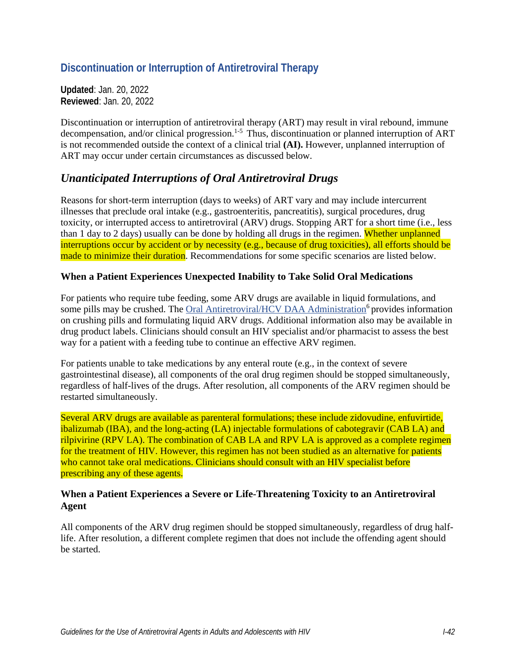# **Discontinuation or Interruption of Antiretroviral Therapy**

**Updated**: Jan. 20, 2022 **Reviewed**: Jan. 20, 2022

Discontinuation or interruption of antiretroviral therapy (ART) may result in viral rebound, immune decompensation, and/or clinical progression.<sup>1-5</sup> Thus, discontinuation or planned interruption of ART is not recommended outside the context of a clinical trial **(AI).** However, unplanned interruption of ART may occur under certain circumstances as discussed below.

### *Unanticipated Interruptions of Oral Antiretroviral Drugs*

Reasons for short-term interruption (days to weeks) of ART vary and may include intercurrent illnesses that preclude oral intake (e.g., gastroenteritis, pancreatitis), surgical procedures, drug toxicity, or interrupted access to antiretroviral (ARV) drugs. Stopping ART for a short time (i.e., less than 1 day to 2 days) usually can be done by holding all drugs in the regimen. Whether unplanned interruptions occur by accident or by necessity (e.g., because of drug toxicities), all efforts should be made to minimize their duration. Recommendations for some specific scenarios are listed below.

#### **When a Patient Experiences Unexpected Inability to Take Solid Oral Medications**

For patients who require tube feeding, some ARV drugs are available in liquid formulations, and some pills may be crushed. The [Oral Antiretroviral/HCV DAA Administration](https://www.hivclinic.ca/main/drugs_extra_files/Crushing%20and%20Liquid%20ARV%20Formulations.pdf)<sup>[6](#page-2-1)</sup> provides information on crushing pills and formulating liquid ARV drugs. Additional information also may be available in drug product labels. Clinicians should consult an HIV specialist and/or pharmacist to assess the best way for a patient with a feeding tube to continue an effective ARV regimen.

For patients unable to take medications by any enteral route (e.g., in the context of severe gastrointestinal disease), all components of the oral drug regimen should be stopped simultaneously, regardless of half-lives of the drugs. After resolution, all components of the ARV regimen should be restarted simultaneously.

Several ARV drugs are available as parenteral formulations; these include zidovudine, enfuvirtide, ibalizumab (IBA), and the long-acting (LA) injectable formulations of cabotegravir (CAB LA) and rilpivirine (RPV LA). The combination of CAB LA and RPV LA is approved as a complete regimen for the treatment of HIV. However, this regimen has not been studied as an alternative for patients who cannot take oral medications. Clinicians should consult with an HIV specialist before prescribing any of these agents.

#### **When a Patient Experiences a Severe or Life-Threatening Toxicity to an Antiretroviral Agent**

All components of the ARV drug regimen should be stopped simultaneously, regardless of drug halflife. After resolution, a different complete regimen that does not include the offending agent should be started.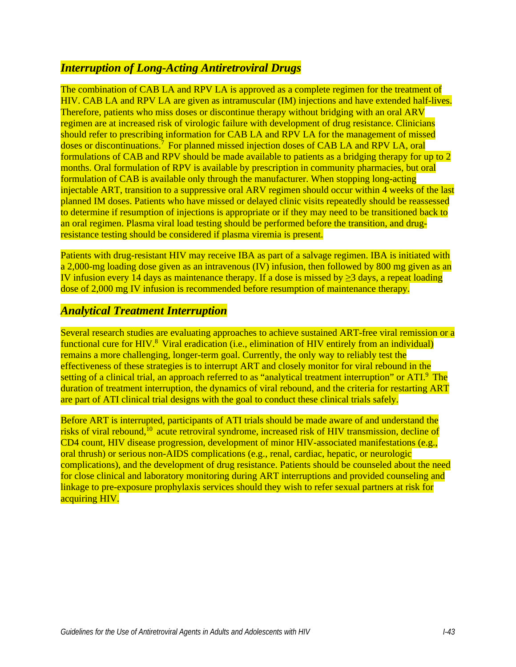### *Interruption of Long-Acting Antiretroviral Drugs*

The combination of CAB LA and RPV LA is approved as a complete regimen for the treatment of HIV. CAB LA and RPV LA are given as intramuscular (IM) injections and have extended half-lives. Therefore, patients who miss doses or discontinue therapy without bridging with an oral ARV regimen are at increased risk of virologic failure with development of drug resistance. Clinicians should refer to prescribing information for CAB LA and RPV LA for the management of missed doses or discontinuations[.7](#page-2-2) For planned missed injection doses of CAB LA and RPV LA, oral formulations of CAB and RPV should be made available to patients as a bridging therapy for up to 2 months. Oral formulation of RPV is available by prescription in community pharmacies, but oral formulation of CAB is available only through the manufacturer. When stopping long-acting injectable ART, transition to a suppressive oral ARV regimen should occur within 4 weeks of the last planned IM doses. Patients who have missed or delayed clinic visits repeatedly should be reassessed to determine if resumption of injections is appropriate or if they may need to be transitioned back to an oral regimen. Plasma viral load testing should be performed before the transition, and drugresistance testing should be considered if plasma viremia is present.

Patients with drug-resistant HIV may receive IBA as part of a salvage regimen. IBA is initiated with a 2,000-mg loading dose given as an intravenous (IV) infusion, then followed by 800 mg given as an IV infusion every 14 days as maintenance therapy. If a dose is missed by  $\geq$ 3 days, a repeat loading dose of 2,000 mg IV infusion is recommended before resumption of maintenance therapy.

### *Analytical Treatment Interruption*

Several research studies are evaluating approaches to achieve sustained ART-free viral remission or a functional cure for HIV.<sup>8</sup> Viral eradication (i.e., elimination of HIV entirely from an individual) remains a more challenging, longer-term goal. Currently, the only way to reliably test the effectiveness of these strategies is to interrupt ART and closely monitor for viral rebound in the setting of a clinical trial, an approach referred to as "analytical treatment interruption" or ATI.<sup>9</sup> The duration of treatment interruption, the dynamics of viral rebound, and the criteria for restarting ART are part of ATI clinical trial designs with the goal to conduct these clinical trials safely.

Before ART is interrupted, participants of ATI trials should be made aware of and understand the risks of viral rebound, $^{10}$  acute retroviral syndrome, increased risk of HIV transmission, decline of CD4 count, HIV disease progression, development of minor HIV-associated manifestations (e.g., oral thrush) or serious non-AIDS complications (e.g., renal, cardiac, hepatic, or neurologic complications), and the development of drug resistance. Patients should be counseled about the need for close clinical and laboratory monitoring during ART interruptions and provided counseling and linkage to pre-exposure prophylaxis services should they wish to refer sexual partners at risk for acquiring HIV.